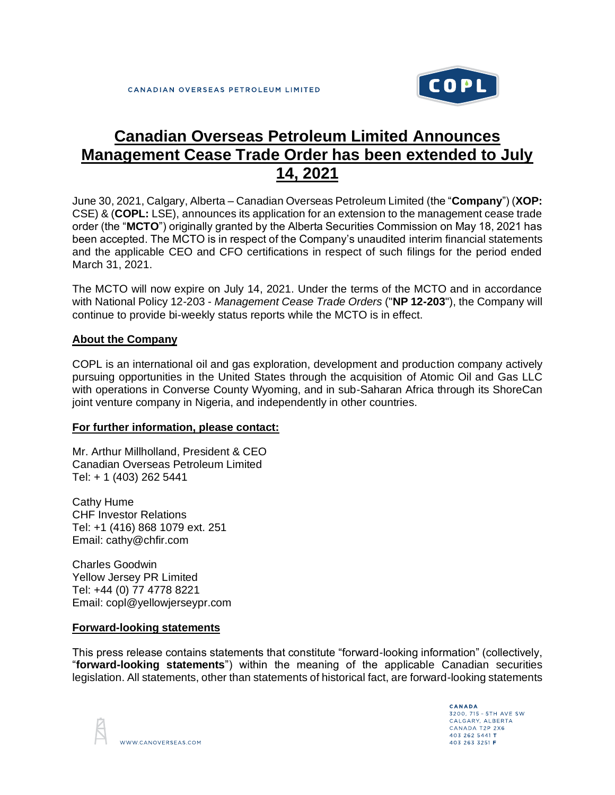

## **Canadian Overseas Petroleum Limited Announces Management Cease Trade Order has been extended to July 14, 2021**

June 30, 2021, Calgary, Alberta – Canadian Overseas Petroleum Limited (the "**Company**") (**XOP:** CSE) & (**COPL:** LSE), announces its application for an extension to the management cease trade order (the "**MCTO**") originally granted by the Alberta Securities Commission on May 18, 2021 has been accepted. The MCTO is in respect of the Company's unaudited interim financial statements and the applicable CEO and CFO certifications in respect of such filings for the period ended March 31, 2021.

The MCTO will now expire on July 14, 2021. Under the terms of the MCTO and in accordance with National Policy 12-203 - *Management Cease Trade Orders* ("**NP 12-203**"), the Company will continue to provide bi-weekly status reports while the MCTO is in effect.

## **About the Company**

COPL is an international oil and gas exploration, development and production company actively pursuing opportunities in the United States through the acquisition of Atomic Oil and Gas LLC with operations in Converse County Wyoming, and in sub-Saharan Africa through its ShoreCan joint venture company in Nigeria, and independently in other countries.

## **For further information, please contact:**

Mr. Arthur Millholland, President & CEO Canadian Overseas Petroleum Limited Tel: + 1 (403) 262 5441

Cathy Hume CHF Investor Relations Tel: +1 (416) 868 1079 ext. 251 Email: cathy@chfir.com

Charles Goodwin Yellow Jersey PR Limited Tel: +44 (0) 77 4778 8221 Email: copl@yellowjerseypr.com

## **Forward-looking statements**

This press release contains statements that constitute "forward-looking information" (collectively, "**forward-looking statements**") within the meaning of the applicable Canadian securities legislation. All statements, other than statements of historical fact, are forward-looking statements



CANADA 3200, 715 - 5TH AVE SW CALGARY, ALBERTA CANADA T2P 2X6 403 262 5441 T 403 263 3251 F